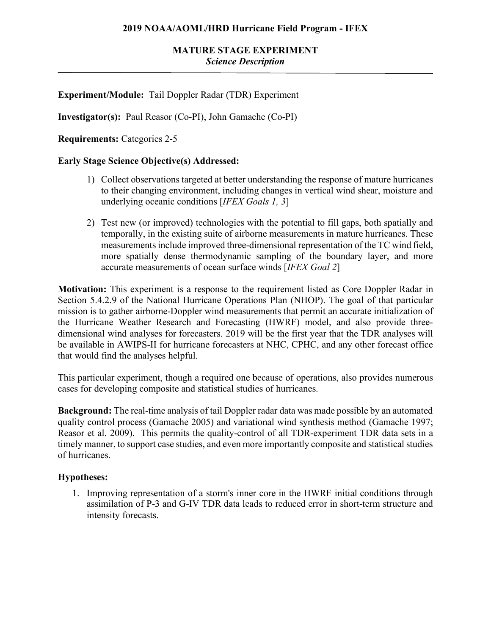# **Experiment/Module:** Tail Doppler Radar (TDR) Experiment

**Investigator(s):** Paul Reasor (Co-PI), John Gamache (Co-PI)

**Requirements:** Categories 2-5

### **Early Stage Science Objective(s) Addressed:**

- 1) Collect observations targeted at better understanding the response of mature hurricanes to their changing environment, including changes in vertical wind shear, moisture and underlying oceanic conditions [*IFEX Goals 1, 3*]
- 2) Test new (or improved) technologies with the potential to fill gaps, both spatially and temporally, in the existing suite of airborne measurements in mature hurricanes. These measurements include improved three-dimensional representation of the TC wind field, more spatially dense thermodynamic sampling of the boundary layer, and more accurate measurements of ocean surface winds [*IFEX Goal 2*]

**Motivation:** This experiment is a response to the requirement listed as Core Doppler Radar in Section 5.4.2.9 of the National Hurricane Operations Plan (NHOP). The goal of that particular mission is to gather airborne-Doppler wind measurements that permit an accurate initialization of the Hurricane Weather Research and Forecasting (HWRF) model, and also provide threedimensional wind analyses for forecasters. 2019 will be the first year that the TDR analyses will be available in AWIPS-II for hurricane forecasters at NHC, CPHC, and any other forecast office that would find the analyses helpful.

This particular experiment, though a required one because of operations, also provides numerous cases for developing composite and statistical studies of hurricanes.

**Background:** The real-time analysis of tail Doppler radar data was made possible by an automated quality control process (Gamache 2005) and variational wind synthesis method (Gamache 1997; Reasor et al. 2009). This permits the quality-control of all TDR-experiment TDR data sets in a timely manner, to support case studies, and even more importantly composite and statistical studies of hurricanes.

### **Hypotheses:**

1. Improving representation of a storm's inner core in the HWRF initial conditions through assimilation of P-3 and G-IV TDR data leads to reduced error in short-term structure and intensity forecasts.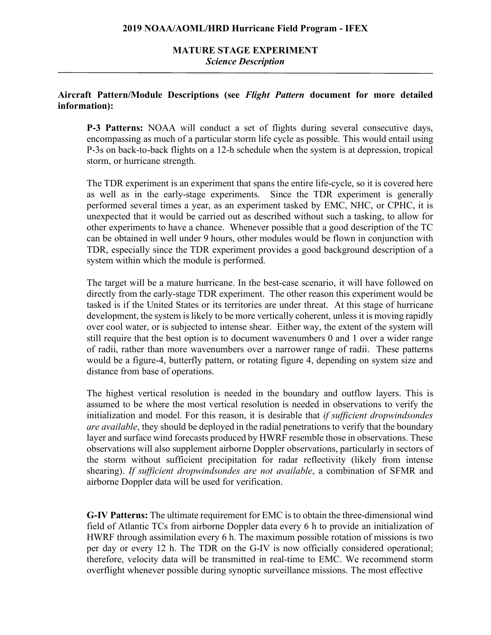# **MATURE STAGE EXPERIMENT** *Science Description*

### **Aircraft Pattern/Module Descriptions (see** *Flight Pattern* **document for more detailed information):**

**P-3 Patterns:** NOAA will conduct a set of flights during several consecutive days, encompassing as much of a particular storm life cycle as possible. This would entail using P-3s on back-to-back flights on a 12-h schedule when the system is at depression, tropical storm, or hurricane strength.

The TDR experiment is an experiment that spans the entire life-cycle, so it is covered here as well as in the early-stage experiments. Since the TDR experiment is generally performed several times a year, as an experiment tasked by EMC, NHC, or CPHC, it is unexpected that it would be carried out as described without such a tasking, to allow for other experiments to have a chance. Whenever possible that a good description of the TC can be obtained in well under 9 hours, other modules would be flown in conjunction with TDR, especially since the TDR experiment provides a good background description of a system within which the module is performed.

The target will be a mature hurricane. In the best-case scenario, it will have followed on directly from the early-stage TDR experiment. The other reason this experiment would be tasked is if the United States or its territories are under threat. At this stage of hurricane development, the system is likely to be more vertically coherent, unless it is moving rapidly over cool water, or is subjected to intense shear. Either way, the extent of the system will still require that the best option is to document wavenumbers 0 and 1 over a wider range of radii, rather than more wavenumbers over a narrower range of radii. These patterns would be a figure-4, butterfly pattern, or rotating figure 4, depending on system size and distance from base of operations.

The highest vertical resolution is needed in the boundary and outflow layers. This is assumed to be where the most vertical resolution is needed in observations to verify the initialization and model. For this reason, it is desirable that *if sufficient dropwindsondes are available*, they should be deployed in the radial penetrations to verify that the boundary layer and surface wind forecasts produced by HWRF resemble those in observations. These observations will also supplement airborne Doppler observations, particularly in sectors of the storm without sufficient precipitation for radar reflectivity (likely from intense shearing). *If sufficient dropwindsondes are not available*, a combination of SFMR and airborne Doppler data will be used for verification.

**G-IV Patterns:** The ultimate requirement for EMC is to obtain the three-dimensional wind field of Atlantic TCs from airborne Doppler data every 6 h to provide an initialization of HWRF through assimilation every 6 h. The maximum possible rotation of missions is two per day or every 12 h. The TDR on the G-IV is now officially considered operational; therefore, velocity data will be transmitted in real-time to EMC. We recommend storm overflight whenever possible during synoptic surveillance missions. The most effective